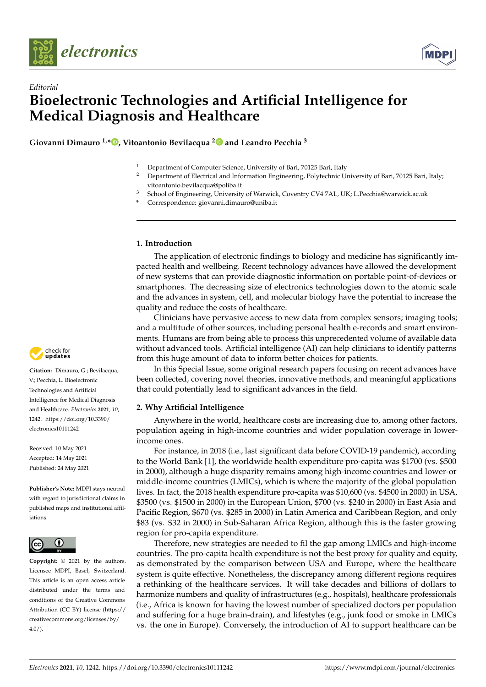



# *Editorial* **Bioelectronic Technologies and Artificial Intelligence for Medical Diagnosis and Healthcare**

**Giovanni Dimauro 1,[\\*](https://orcid.org/0000-0002-4120-5876) , Vitoantonio Bevilacqua [2](https://orcid.org/0000-0002-3088-0788) and Leandro Pecchia <sup>3</sup>**



- <sup>2</sup> Department of Electrical and Information Engineering, Polytechnic University of Bari, 70125 Bari, Italy; vitoantonio.bevilacqua@poliba.it
- <sup>3</sup> School of Engineering, University of Warwick, Coventry CV4 7AL, UK; L.Pecchia@warwick.ac.uk
- **\*** Correspondence: giovanni.dimauro@uniba.it

## **1. Introduction**

The application of electronic findings to biology and medicine has significantly impacted health and wellbeing. Recent technology advances have allowed the development of new systems that can provide diagnostic information on portable point-of-devices or smartphones. The decreasing size of electronics technologies down to the atomic scale and the advances in system, cell, and molecular biology have the potential to increase the quality and reduce the costs of healthcare.

Clinicians have pervasive access to new data from complex sensors; imaging tools; and a multitude of other sources, including personal health e-records and smart environments. Humans are from being able to process this unprecedented volume of available data without advanced tools. Artificial intelligence (AI) can help clinicians to identify patterns from this huge amount of data to inform better choices for patients.

In this Special Issue, some original research papers focusing on recent advances have been collected, covering novel theories, innovative methods, and meaningful applications that could potentially lead to significant advances in the field.

## **2. Why Artificial Intelligence**

Anywhere in the world, healthcare costs are increasing due to, among other factors, population ageing in high-income countries and wider population coverage in lowerincome ones.

For instance, in 2018 (i.e., last significant data before COVID-19 pandemic), according to the World Bank [\[1\]](#page-7-0), the worldwide health expenditure pro-capita was \$1700 (vs. \$500 in 2000), although a huge disparity remains among high-income countries and lower-or middle-income countries (LMICs), which is where the majority of the global population lives. In fact, the 2018 health expenditure pro-capita was \$10,600 (vs. \$4500 in 2000) in USA, \$3500 (vs. \$1500 in 2000) in the European Union, \$700 (vs. \$240 in 2000) in East Asia and Pacific Region, \$670 (vs. \$285 in 2000) in Latin America and Caribbean Region, and only \$83 (vs. \$32 in 2000) in Sub-Saharan Africa Region, although this is the faster growing region for pro-capita expenditure.

Therefore, new strategies are needed to fil the gap among LMICs and high-income countries. The pro-capita health expenditure is not the best proxy for quality and equity, as demonstrated by the comparison between USA and Europe, where the healthcare system is quite effective. Nonetheless, the discrepancy among different regions requires a rethinking of the healthcare services. It will take decades and billions of dollars to harmonize numbers and quality of infrastructures (e.g., hospitals), healthcare professionals (i.e., Africa is known for having the lowest number of specialized doctors per population and suffering for a huge brain-drain), and lifestyles (e.g., junk food or smoke in LMICs vs. the one in Europe). Conversely, the introduction of AI to support healthcare can be



**Citation:** Dimauro, G.; Bevilacqua, V.; Pecchia, L. Bioelectronic Technologies and Artificial Intelligence for Medical Diagnosis and Healthcare. *Electronics* **2021**, *10*, 1242. [https://doi.org/10.3390/](https://doi.org/10.3390/electronics10111242) [electronics10111242](https://doi.org/10.3390/electronics10111242)

Received: 10 May 2021 Accepted: 14 May 2021 Published: 24 May 2021

**Publisher's Note:** MDPI stays neutral with regard to jurisdictional claims in published maps and institutional affiliations.



**Copyright:** © 2021 by the authors. Licensee MDPI, Basel, Switzerland. This article is an open access article distributed under the terms and conditions of the Creative Commons Attribution (CC BY) license (https:/[/](https://creativecommons.org/licenses/by/4.0/) [creativecommons.org/licenses/by/](https://creativecommons.org/licenses/by/4.0/)  $4.0/$ ).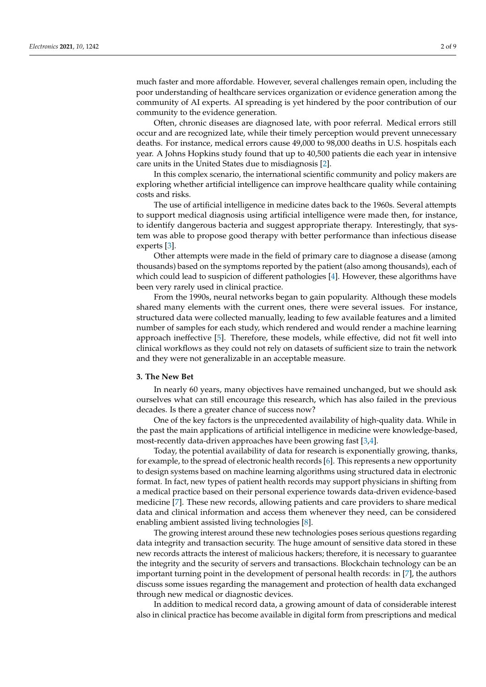much faster and more affordable. However, several challenges remain open, including the poor understanding of healthcare services organization or evidence generation among the community of AI experts. AI spreading is yet hindered by the poor contribution of our community to the evidence generation.

Often, chronic diseases are diagnosed late, with poor referral. Medical errors still occur and are recognized late, while their timely perception would prevent unnecessary deaths. For instance, medical errors cause 49,000 to 98,000 deaths in U.S. hospitals each year. A Johns Hopkins study found that up to 40,500 patients die each year in intensive care units in the United States due to misdiagnosis [\[2\]](#page-7-1).

In this complex scenario, the international scientific community and policy makers are exploring whether artificial intelligence can improve healthcare quality while containing costs and risks.

The use of artificial intelligence in medicine dates back to the 1960s. Several attempts to support medical diagnosis using artificial intelligence were made then, for instance, to identify dangerous bacteria and suggest appropriate therapy. Interestingly, that system was able to propose good therapy with better performance than infectious disease experts [\[3\]](#page-7-2).

Other attempts were made in the field of primary care to diagnose a disease (among thousands) based on the symptoms reported by the patient (also among thousands), each of which could lead to suspicion of different pathologies [\[4\]](#page-7-3). However, these algorithms have been very rarely used in clinical practice.

From the 1990s, neural networks began to gain popularity. Although these models shared many elements with the current ones, there were several issues. For instance, structured data were collected manually, leading to few available features and a limited number of samples for each study, which rendered and would render a machine learning approach ineffective [\[5\]](#page-7-4). Therefore, these models, while effective, did not fit well into clinical workflows as they could not rely on datasets of sufficient size to train the network and they were not generalizable in an acceptable measure.

#### **3. The New Bet**

In nearly 60 years, many objectives have remained unchanged, but we should ask ourselves what can still encourage this research, which has also failed in the previous decades. Is there a greater chance of success now?

One of the key factors is the unprecedented availability of high-quality data. While in the past the main applications of artificial intelligence in medicine were knowledge-based, most-recently data-driven approaches have been growing fast [\[3](#page-7-2)[,4\]](#page-7-3).

Today, the potential availability of data for research is exponentially growing, thanks, for example, to the spread of electronic health records [\[6\]](#page-7-5). This represents a new opportunity to design systems based on machine learning algorithms using structured data in electronic format. In fact, new types of patient health records may support physicians in shifting from a medical practice based on their personal experience towards data-driven evidence-based medicine [\[7\]](#page-7-6). These new records, allowing patients and care providers to share medical data and clinical information and access them whenever they need, can be considered enabling ambient assisted living technologies [\[8\]](#page-7-7).

The growing interest around these new technologies poses serious questions regarding data integrity and transaction security. The huge amount of sensitive data stored in these new records attracts the interest of malicious hackers; therefore, it is necessary to guarantee the integrity and the security of servers and transactions. Blockchain technology can be an important turning point in the development of personal health records: in [\[7\]](#page-7-6), the authors discuss some issues regarding the management and protection of health data exchanged through new medical or diagnostic devices.

In addition to medical record data, a growing amount of data of considerable interest also in clinical practice has become available in digital form from prescriptions and medical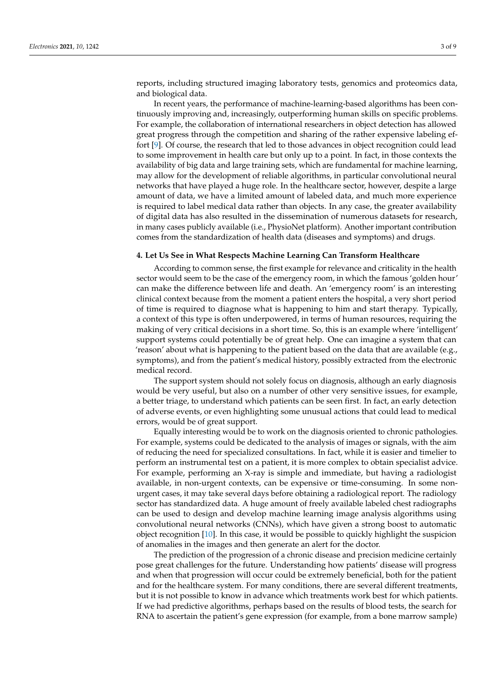reports, including structured imaging laboratory tests, genomics and proteomics data, and biological data.

In recent years, the performance of machine-learning-based algorithms has been continuously improving and, increasingly, outperforming human skills on specific problems. For example, the collaboration of international researchers in object detection has allowed great progress through the competition and sharing of the rather expensive labeling effort [\[9\]](#page-7-8). Of course, the research that led to those advances in object recognition could lead to some improvement in health care but only up to a point. In fact, in those contexts the availability of big data and large training sets, which are fundamental for machine learning, may allow for the development of reliable algorithms, in particular convolutional neural networks that have played a huge role. In the healthcare sector, however, despite a large amount of data, we have a limited amount of labeled data, and much more experience is required to label medical data rather than objects. In any case, the greater availability of digital data has also resulted in the dissemination of numerous datasets for research, in many cases publicly available (i.e., PhysioNet platform). Another important contribution comes from the standardization of health data (diseases and symptoms) and drugs.

## **4. Let Us See in What Respects Machine Learning Can Transform Healthcare**

According to common sense, the first example for relevance and criticality in the health sector would seem to be the case of the emergency room, in which the famous 'golden hour' can make the difference between life and death. An 'emergency room' is an interesting clinical context because from the moment a patient enters the hospital, a very short period of time is required to diagnose what is happening to him and start therapy. Typically, a context of this type is often underpowered, in terms of human resources, requiring the making of very critical decisions in a short time. So, this is an example where 'intelligent' support systems could potentially be of great help. One can imagine a system that can 'reason' about what is happening to the patient based on the data that are available (e.g., symptoms), and from the patient's medical history, possibly extracted from the electronic medical record.

The support system should not solely focus on diagnosis, although an early diagnosis would be very useful, but also on a number of other very sensitive issues, for example, a better triage, to understand which patients can be seen first. In fact, an early detection of adverse events, or even highlighting some unusual actions that could lead to medical errors, would be of great support.

Equally interesting would be to work on the diagnosis oriented to chronic pathologies. For example, systems could be dedicated to the analysis of images or signals, with the aim of reducing the need for specialized consultations. In fact, while it is easier and timelier to perform an instrumental test on a patient, it is more complex to obtain specialist advice. For example, performing an X-ray is simple and immediate, but having a radiologist available, in non-urgent contexts, can be expensive or time-consuming. In some nonurgent cases, it may take several days before obtaining a radiological report. The radiology sector has standardized data. A huge amount of freely available labeled chest radiographs can be used to design and develop machine learning image analysis algorithms using convolutional neural networks (CNNs), which have given a strong boost to automatic object recognition [\[10\]](#page-7-9). In this case, it would be possible to quickly highlight the suspicion of anomalies in the images and then generate an alert for the doctor.

The prediction of the progression of a chronic disease and precision medicine certainly pose great challenges for the future. Understanding how patients' disease will progress and when that progression will occur could be extremely beneficial, both for the patient and for the healthcare system. For many conditions, there are several different treatments, but it is not possible to know in advance which treatments work best for which patients. If we had predictive algorithms, perhaps based on the results of blood tests, the search for RNA to ascertain the patient's gene expression (for example, from a bone marrow sample)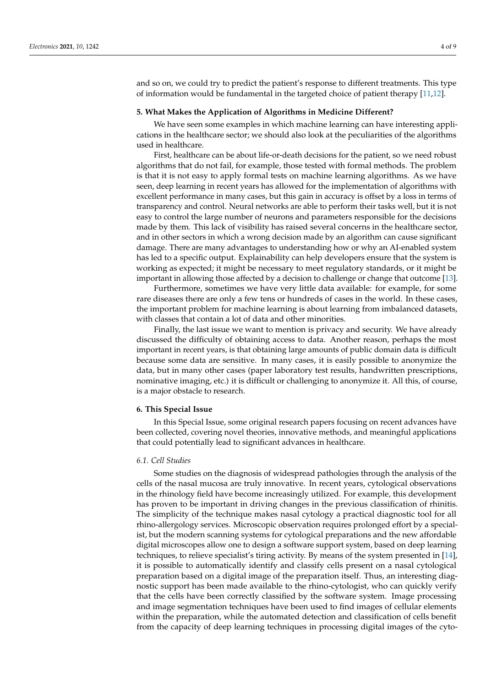and so on, we could try to predict the patient's response to different treatments. This type of information would be fundamental in the targeted choice of patient therapy [\[11,](#page-7-10)[12\]](#page-7-11).

## **5. What Makes the Application of Algorithms in Medicine Different?**

We have seen some examples in which machine learning can have interesting applications in the healthcare sector; we should also look at the peculiarities of the algorithms used in healthcare.

First, healthcare can be about life-or-death decisions for the patient, so we need robust algorithms that do not fail, for example, those tested with formal methods. The problem is that it is not easy to apply formal tests on machine learning algorithms. As we have seen, deep learning in recent years has allowed for the implementation of algorithms with excellent performance in many cases, but this gain in accuracy is offset by a loss in terms of transparency and control. Neural networks are able to perform their tasks well, but it is not easy to control the large number of neurons and parameters responsible for the decisions made by them. This lack of visibility has raised several concerns in the healthcare sector, and in other sectors in which a wrong decision made by an algorithm can cause significant damage. There are many advantages to understanding how or why an AI-enabled system has led to a specific output. Explainability can help developers ensure that the system is working as expected; it might be necessary to meet regulatory standards, or it might be important in allowing those affected by a decision to challenge or change that outcome [\[13\]](#page-7-12).

Furthermore, sometimes we have very little data available: for example, for some rare diseases there are only a few tens or hundreds of cases in the world. In these cases, the important problem for machine learning is about learning from imbalanced datasets, with classes that contain a lot of data and other minorities.

Finally, the last issue we want to mention is privacy and security. We have already discussed the difficulty of obtaining access to data. Another reason, perhaps the most important in recent years, is that obtaining large amounts of public domain data is difficult because some data are sensitive. In many cases, it is easily possible to anonymize the data, but in many other cases (paper laboratory test results, handwritten prescriptions, nominative imaging, etc.) it is difficult or challenging to anonymize it. All this, of course, is a major obstacle to research.

## **6. This Special Issue**

In this Special Issue, some original research papers focusing on recent advances have been collected, covering novel theories, innovative methods, and meaningful applications that could potentially lead to significant advances in healthcare.

## *6.1. Cell Studies*

Some studies on the diagnosis of widespread pathologies through the analysis of the cells of the nasal mucosa are truly innovative. In recent years, cytological observations in the rhinology field have become increasingly utilized. For example, this development has proven to be important in driving changes in the previous classification of rhinitis. The simplicity of the technique makes nasal cytology a practical diagnostic tool for all rhino-allergology services. Microscopic observation requires prolonged effort by a specialist, but the modern scanning systems for cytological preparations and the new affordable digital microscopes allow one to design a software support system, based on deep learning techniques, to relieve specialist's tiring activity. By means of the system presented in [\[14\]](#page-8-0), it is possible to automatically identify and classify cells present on a nasal cytological preparation based on a digital image of the preparation itself. Thus, an interesting diagnostic support has been made available to the rhino-cytologist, who can quickly verify that the cells have been correctly classified by the software system. Image processing and image segmentation techniques have been used to find images of cellular elements within the preparation, while the automated detection and classification of cells benefit from the capacity of deep learning techniques in processing digital images of the cyto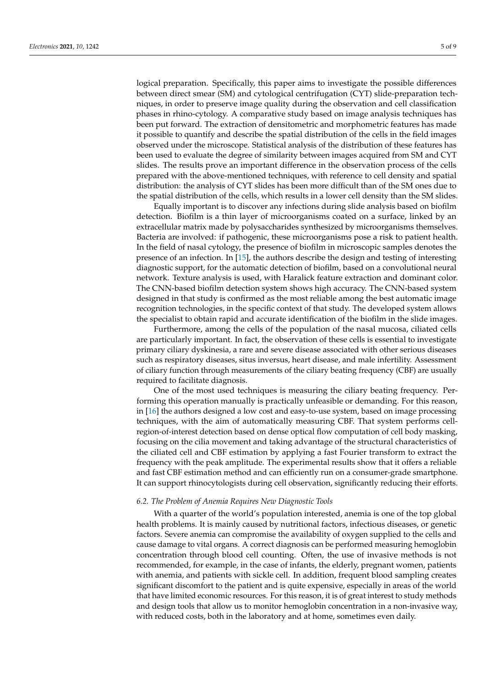logical preparation. Specifically, this paper aims to investigate the possible differences between direct smear (SM) and cytological centrifugation (CYT) slide-preparation techniques, in order to preserve image quality during the observation and cell classification phases in rhino-cytology. A comparative study based on image analysis techniques has been put forward. The extraction of densitometric and morphometric features has made it possible to quantify and describe the spatial distribution of the cells in the field images observed under the microscope. Statistical analysis of the distribution of these features has been used to evaluate the degree of similarity between images acquired from SM and CYT slides. The results prove an important difference in the observation process of the cells prepared with the above-mentioned techniques, with reference to cell density and spatial distribution: the analysis of CYT slides has been more difficult than of the SM ones due to the spatial distribution of the cells, which results in a lower cell density than the SM slides.

Equally important is to discover any infections during slide analysis based on biofilm detection. Biofilm is a thin layer of microorganisms coated on a surface, linked by an extracellular matrix made by polysaccharides synthesized by microorganisms themselves. Bacteria are involved: if pathogenic, these microorganisms pose a risk to patient health. In the field of nasal cytology, the presence of biofilm in microscopic samples denotes the presence of an infection. In [\[15\]](#page-8-1), the authors describe the design and testing of interesting diagnostic support, for the automatic detection of biofilm, based on a convolutional neural network. Texture analysis is used, with Haralick feature extraction and dominant color. The CNN-based biofilm detection system shows high accuracy. The CNN-based system designed in that study is confirmed as the most reliable among the best automatic image recognition technologies, in the specific context of that study. The developed system allows the specialist to obtain rapid and accurate identification of the biofilm in the slide images.

Furthermore, among the cells of the population of the nasal mucosa, ciliated cells are particularly important. In fact, the observation of these cells is essential to investigate primary ciliary dyskinesia, a rare and severe disease associated with other serious diseases such as respiratory diseases, situs inversus, heart disease, and male infertility. Assessment of ciliary function through measurements of the ciliary beating frequency (CBF) are usually required to facilitate diagnosis.

One of the most used techniques is measuring the ciliary beating frequency. Performing this operation manually is practically unfeasible or demanding. For this reason, in [\[16\]](#page-8-2) the authors designed a low cost and easy-to-use system, based on image processing techniques, with the aim of automatically measuring CBF. That system performs cellregion-of-interest detection based on dense optical flow computation of cell body masking, focusing on the cilia movement and taking advantage of the structural characteristics of the ciliated cell and CBF estimation by applying a fast Fourier transform to extract the frequency with the peak amplitude. The experimental results show that it offers a reliable and fast CBF estimation method and can efficiently run on a consumer-grade smartphone. It can support rhinocytologists during cell observation, significantly reducing their efforts.

## *6.2. The Problem of Anemia Requires New Diagnostic Tools*

With a quarter of the world's population interested, anemia is one of the top global health problems. It is mainly caused by nutritional factors, infectious diseases, or genetic factors. Severe anemia can compromise the availability of oxygen supplied to the cells and cause damage to vital organs. A correct diagnosis can be performed measuring hemoglobin concentration through blood cell counting. Often, the use of invasive methods is not recommended, for example, in the case of infants, the elderly, pregnant women, patients with anemia, and patients with sickle cell. In addition, frequent blood sampling creates significant discomfort to the patient and is quite expensive, especially in areas of the world that have limited economic resources. For this reason, it is of great interest to study methods and design tools that allow us to monitor hemoglobin concentration in a non-invasive way, with reduced costs, both in the laboratory and at home, sometimes even daily.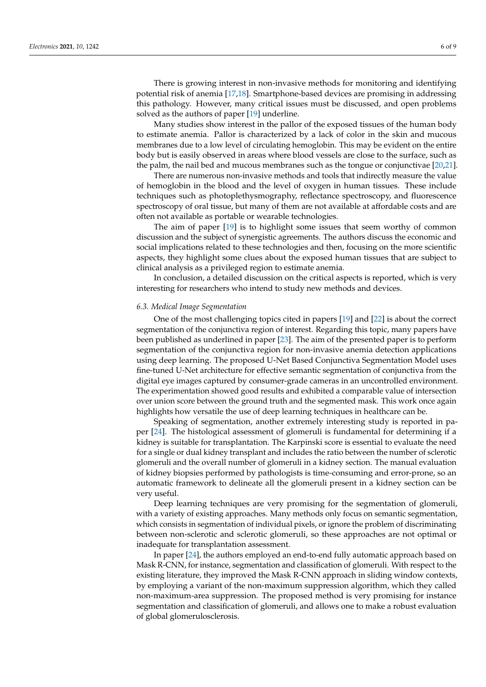There is growing interest in non-invasive methods for monitoring and identifying potential risk of anemia [\[17,](#page-8-3)[18\]](#page-8-4). Smartphone-based devices are promising in addressing this pathology. However, many critical issues must be discussed, and open problems solved as the authors of paper [\[19\]](#page-8-5) underline.

Many studies show interest in the pallor of the exposed tissues of the human body to estimate anemia. Pallor is characterized by a lack of color in the skin and mucous membranes due to a low level of circulating hemoglobin. This may be evident on the entire body but is easily observed in areas where blood vessels are close to the surface, such as the palm, the nail bed and mucous membranes such as the tongue or conjunctivae [\[20](#page-8-6)[,21\]](#page-8-7).

There are numerous non-invasive methods and tools that indirectly measure the value of hemoglobin in the blood and the level of oxygen in human tissues. These include techniques such as photoplethysmography, reflectance spectroscopy, and fluorescence spectroscopy of oral tissue, but many of them are not available at affordable costs and are often not available as portable or wearable technologies.

The aim of paper [\[19\]](#page-8-5) is to highlight some issues that seem worthy of common discussion and the subject of synergistic agreements. The authors discuss the economic and social implications related to these technologies and then, focusing on the more scientific aspects, they highlight some clues about the exposed human tissues that are subject to clinical analysis as a privileged region to estimate anemia.

In conclusion, a detailed discussion on the critical aspects is reported, which is very interesting for researchers who intend to study new methods and devices.

## *6.3. Medical Image Segmentation*

One of the most challenging topics cited in papers [\[19\]](#page-8-5) and [\[22\]](#page-8-8) is about the correct segmentation of the conjunctiva region of interest. Regarding this topic, many papers have been published as underlined in paper [\[23\]](#page-8-9). The aim of the presented paper is to perform segmentation of the conjunctiva region for non-invasive anemia detection applications using deep learning. The proposed U-Net Based Conjunctiva Segmentation Model uses fine-tuned U-Net architecture for effective semantic segmentation of conjunctiva from the digital eye images captured by consumer-grade cameras in an uncontrolled environment. The experimentation showed good results and exhibited a comparable value of intersection over union score between the ground truth and the segmented mask. This work once again highlights how versatile the use of deep learning techniques in healthcare can be.

Speaking of segmentation, another extremely interesting study is reported in paper [\[24\]](#page-8-10). The histological assessment of glomeruli is fundamental for determining if a kidney is suitable for transplantation. The Karpinski score is essential to evaluate the need for a single or dual kidney transplant and includes the ratio between the number of sclerotic glomeruli and the overall number of glomeruli in a kidney section. The manual evaluation of kidney biopsies performed by pathologists is time-consuming and error-prone, so an automatic framework to delineate all the glomeruli present in a kidney section can be very useful.

Deep learning techniques are very promising for the segmentation of glomeruli, with a variety of existing approaches. Many methods only focus on semantic segmentation, which consists in segmentation of individual pixels, or ignore the problem of discriminating between non-sclerotic and sclerotic glomeruli, so these approaches are not optimal or inadequate for transplantation assessment.

In paper [\[24\]](#page-8-10), the authors employed an end-to-end fully automatic approach based on Mask R-CNN, for instance, segmentation and classification of glomeruli. With respect to the existing literature, they improved the Mask R-CNN approach in sliding window contexts, by employing a variant of the non-maximum suppression algorithm, which they called non-maximum-area suppression. The proposed method is very promising for instance segmentation and classification of glomeruli, and allows one to make a robust evaluation of global glomerulosclerosis.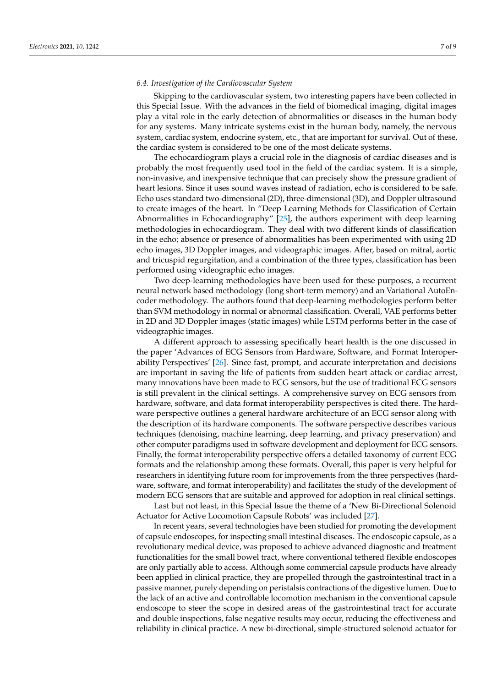## *6.4. Investigation of the Cardiovascular System*

Skipping to the cardiovascular system, two interesting papers have been collected in this Special Issue. With the advances in the field of biomedical imaging, digital images play a vital role in the early detection of abnormalities or diseases in the human body for any systems. Many intricate systems exist in the human body, namely, the nervous system, cardiac system, endocrine system, etc., that are important for survival. Out of these, the cardiac system is considered to be one of the most delicate systems.

The echocardiogram plays a crucial role in the diagnosis of cardiac diseases and is probably the most frequently used tool in the field of the cardiac system. It is a simple, non-invasive, and inexpensive technique that can precisely show the pressure gradient of heart lesions. Since it uses sound waves instead of radiation, echo is considered to be safe. Echo uses standard two-dimensional (2D), three-dimensional (3D), and Doppler ultrasound to create images of the heart. In "Deep Learning Methods for Classification of Certain Abnormalities in Echocardiography" [\[25\]](#page-8-11), the authors experiment with deep learning methodologies in echocardiogram. They deal with two different kinds of classification in the echo; absence or presence of abnormalities has been experimented with using 2D echo images, 3D Doppler images, and videographic images. After, based on mitral, aortic and tricuspid regurgitation, and a combination of the three types, classification has been performed using videographic echo images.

Two deep-learning methodologies have been used for these purposes, a recurrent neural network based methodology (long short-term memory) and an Variational AutoEncoder methodology. The authors found that deep-learning methodologies perform better than SVM methodology in normal or abnormal classification. Overall, VAE performs better in 2D and 3D Doppler images (static images) while LSTM performs better in the case of videographic images.

A different approach to assessing specifically heart health is the one discussed in the paper 'Advances of ECG Sensors from Hardware, Software, and Format Interoperability Perspectives' [\[26\]](#page-8-12). Since fast, prompt, and accurate interpretation and decisions are important in saving the life of patients from sudden heart attack or cardiac arrest, many innovations have been made to ECG sensors, but the use of traditional ECG sensors is still prevalent in the clinical settings. A comprehensive survey on ECG sensors from hardware, software, and data format interoperability perspectives is cited there. The hardware perspective outlines a general hardware architecture of an ECG sensor along with the description of its hardware components. The software perspective describes various techniques (denoising, machine learning, deep learning, and privacy preservation) and other computer paradigms used in software development and deployment for ECG sensors. Finally, the format interoperability perspective offers a detailed taxonomy of current ECG formats and the relationship among these formats. Overall, this paper is very helpful for researchers in identifying future room for improvements from the three perspectives (hardware, software, and format interoperability) and facilitates the study of the development of modern ECG sensors that are suitable and approved for adoption in real clinical settings.

Last but not least, in this Special Issue the theme of a 'New Bi-Directional Solenoid Actuator for Active Locomotion Capsule Robots' was included [\[27\]](#page-8-13).

In recent years, several technologies have been studied for promoting the development of capsule endoscopes, for inspecting small intestinal diseases. The endoscopic capsule, as a revolutionary medical device, was proposed to achieve advanced diagnostic and treatment functionalities for the small bowel tract, where conventional tethered flexible endoscopes are only partially able to access. Although some commercial capsule products have already been applied in clinical practice, they are propelled through the gastrointestinal tract in a passive manner, purely depending on peristalsis contractions of the digestive lumen. Due to the lack of an active and controllable locomotion mechanism in the conventional capsule endoscope to steer the scope in desired areas of the gastrointestinal tract for accurate and double inspections, false negative results may occur, reducing the effectiveness and reliability in clinical practice. A new bi-directional, simple-structured solenoid actuator for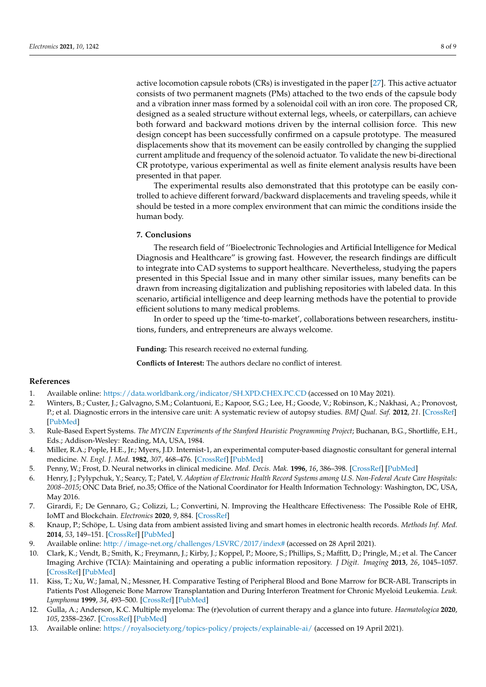active locomotion capsule robots (CRs) is investigated in the paper [\[27\]](#page-8-13). This active actuator consists of two permanent magnets (PMs) attached to the two ends of the capsule body and a vibration inner mass formed by a solenoidal coil with an iron core. The proposed CR, designed as a sealed structure without external legs, wheels, or caterpillars, can achieve both forward and backward motions driven by the internal collision force. This new design concept has been successfully confirmed on a capsule prototype. The measured displacements show that its movement can be easily controlled by changing the supplied current amplitude and frequency of the solenoid actuator. To validate the new bi-directional CR prototype, various experimental as well as finite element analysis results have been presented in that paper.

The experimental results also demonstrated that this prototype can be easily controlled to achieve different forward/backward displacements and traveling speeds, while it should be tested in a more complex environment that can mimic the conditions inside the human body.

## **7. Conclusions**

The research field of ''Bioelectronic Technologies and Artificial Intelligence for Medical Diagnosis and Healthcare" is growing fast. However, the research findings are difficult to integrate into CAD systems to support healthcare. Nevertheless, studying the papers presented in this Special Issue and in many other similar issues, many benefits can be drawn from increasing digitalization and publishing repositories with labeled data. In this scenario, artificial intelligence and deep learning methods have the potential to provide efficient solutions to many medical problems.

In order to speed up the 'time-to-market', collaborations between researchers, institutions, funders, and entrepreneurs are always welcome.

**Funding:** This research received no external funding.

**Conflicts of Interest:** The authors declare no conflict of interest.

## **References**

- <span id="page-7-0"></span>1. Available online: <https://data.worldbank.org/indicator/SH.XPD.CHEX.PC.CD> (accessed on 10 May 2021).
- <span id="page-7-1"></span>2. Winters, B.; Custer, J.; Galvagno, S.M.; Colantuoni, E.; Kapoor, S.G.; Lee, H.; Goode, V.; Robinson, K.; Nakhasi, A.; Pronovost, P.; et al. Diagnostic errors in the intensive care unit: A systematic review of autopsy studies. *BMJ Qual. Saf.* **2012**, *21*. [\[CrossRef\]](http://doi.org/10.1136/bmjqs-2012-000803) [\[PubMed\]](http://www.ncbi.nlm.nih.gov/pubmed/22822241)
- <span id="page-7-2"></span>3. Rule-Based Expert Systems. *The MYCIN Experiments of the Stanford Heuristic Programming Project*; Buchanan, B.G., Shortliffe, E.H., Eds.; Addison-Wesley: Reading, MA, USA, 1984.
- <span id="page-7-3"></span>4. Miller, R.A.; Pople, H.E., Jr.; Myers, J.D. Internist-1, an experimental computer-based diagnostic consultant for general internal medicine. *N. Engl. J. Med.* **1982**, *307*, 468–476. [\[CrossRef\]](http://doi.org/10.1056/NEJM198208193070803) [\[PubMed\]](http://www.ncbi.nlm.nih.gov/pubmed/7048091)
- <span id="page-7-4"></span>5. Penny, W.; Frost, D. Neural networks in clinical medicine. *Med. Decis. Mak.* **1996**, *16*, 386–398. [\[CrossRef\]](http://doi.org/10.1177/0272989X9601600409) [\[PubMed\]](http://www.ncbi.nlm.nih.gov/pubmed/8912300)
- <span id="page-7-5"></span>6. Henry, J.; Pylypchuk, Y.; Searcy, T.; Patel, V. *Adoption of Electronic Health Record Systems among U.S. Non-Federal Acute Care Hospitals: 2008–2015*; ONC Data Brief, no.35; Office of the National Coordinator for Health Information Technology: Washington, DC, USA, May 2016.
- <span id="page-7-6"></span>7. Girardi, F.; De Gennaro, G.; Colizzi, L.; Convertini, N. Improving the Healthcare Effectiveness: The Possible Role of EHR, IoMT and Blockchain. *Electronics* **2020**, *9*, 884. [\[CrossRef\]](http://doi.org/10.3390/electronics9060884)
- <span id="page-7-7"></span>8. Knaup, P.; Schöpe, L. Using data from ambient assisted living and smart homes in electronic health records. *Methods Inf. Med.* **2014**, *53*, 149–151. [\[CrossRef\]](http://doi.org/10.3414/ME14-10-0003) [\[PubMed\]](http://www.ncbi.nlm.nih.gov/pubmed/24828122)
- <span id="page-7-8"></span>9. Available online: <http://image-net.org/challenges/LSVRC/2017/index#> (accessed on 28 April 2021).
- <span id="page-7-9"></span>10. Clark, K.; Vendt, B.; Smith, K.; Freymann, J.; Kirby, J.; Koppel, P.; Moore, S.; Phillips, S.; Maffitt, D.; Pringle, M.; et al. The Cancer Imaging Archive (TCIA): Maintaining and operating a public information repository. *J Digit. Imaging* **2013**, *26*, 1045–1057. [\[CrossRef\]](http://doi.org/10.1007/s10278-013-9622-7) [\[PubMed\]](http://www.ncbi.nlm.nih.gov/pubmed/23884657)
- <span id="page-7-10"></span>11. Kiss, T.; Xu, W.; Jamal, N.; Messner, H. Comparative Testing of Peripheral Blood and Bone Marrow for BCR-ABL Transcripts in Patients Post Allogeneic Bone Marrow Transplantation and During Interferon Treatment for Chronic Myeloid Leukemia. *Leuk. Lymphoma* **1999**, *34*, 493–500. [\[CrossRef\]](http://doi.org/10.3109/10428199909058476) [\[PubMed\]](http://www.ncbi.nlm.nih.gov/pubmed/10492072)
- <span id="page-7-11"></span>12. Gulla, A.; Anderson, K.C. Multiple myeloma: The (r)evolution of current therapy and a glance into future. *Haematologica* **2020**, *105*, 2358–2367. [\[CrossRef\]](http://doi.org/10.3324/haematol.2020.247015) [\[PubMed\]](http://www.ncbi.nlm.nih.gov/pubmed/33054076)
- <span id="page-7-12"></span>13. Available online: <https://royalsociety.org/topics-policy/projects/explainable-ai/> (accessed on 19 April 2021).